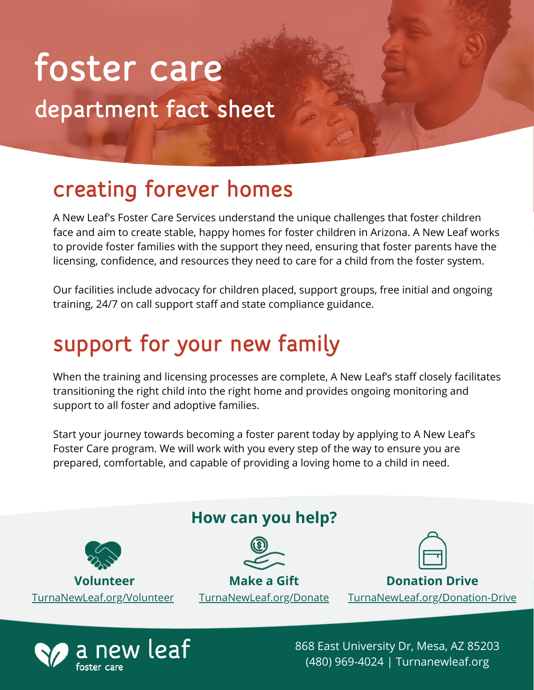# department fact sheet foster care

### creating forever homes

A New Leaf's Foster Care Services understand the unique challenges that foster children face and aim to create stable, happy homes for foster children in Arizona. A New Leaf works to provide foster families with the support they need, ensuring that foster parents have the licensing, confidence, and resources they need to care for a child from the foster system.

Our facilities include advocacy for children placed, support groups, free initial and ongoing training, 24/7 on call support staff and state compliance guidance.

## support for your new family

When the training and licensing processes are complete, A New Leaf's staff closely facilitates transitioning the right child into the right home and provides ongoing monitoring and support to all foster and adoptive families.

Start your journey towards becoming a foster parent today by applying to A New Leaf's Foster Care program. We will work with you every step of the way to ensure you are prepared, comfortable, and capable of providing a loving home to a child in need.





868 East University Dr, Mesa, AZ 85203 (480) 969-4024 | Turnanewleaf.org